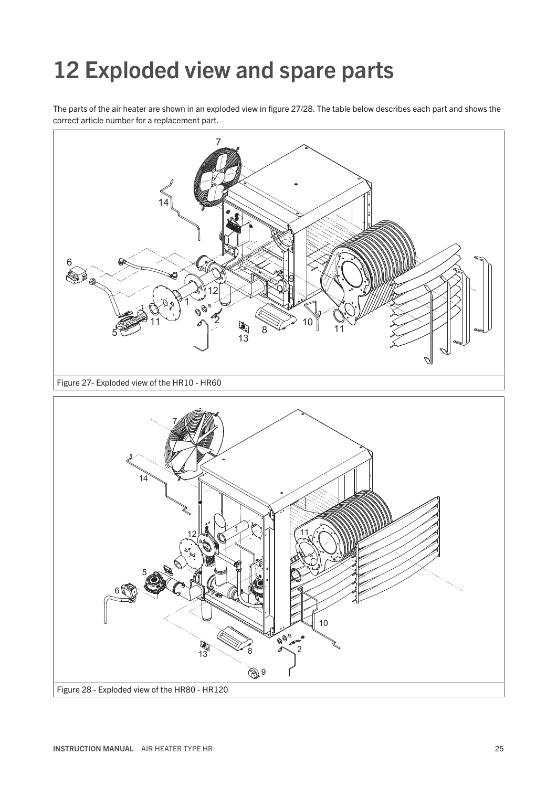## Exploded view and spare parts

The parts of the air heater are shown in an exploded view in figure 27/28. The table below describes each part and shows the correct article number for a replacement part.